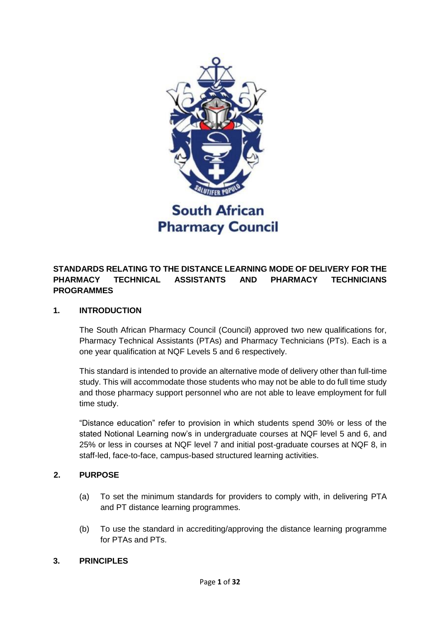

## **STANDARDS RELATING TO THE DISTANCE LEARNING MODE OF DELIVERY FOR THE PHARMACY TECHNICAL ASSISTANTS AND PHARMACY TECHNICIANS PROGRAMMES**

### **1. INTRODUCTION**

The South African Pharmacy Council (Council) approved two new qualifications for, Pharmacy Technical Assistants (PTAs) and Pharmacy Technicians (PTs). Each is a one year qualification at NQF Levels 5 and 6 respectively.

This standard is intended to provide an alternative mode of delivery other than full-time study. This will accommodate those students who may not be able to do full time study and those pharmacy support personnel who are not able to leave employment for full time study.

"Distance education" refer to provision in which students spend 30% or less of the stated Notional Learning now's in undergraduate courses at NQF level 5 and 6, and 25% or less in courses at NQF level 7 and initial post-graduate courses at NQF 8, in staff-led, face-to-face, campus-based structured learning activities.

### **2. PURPOSE**

- (a) To set the minimum standards for providers to comply with, in delivering PTA and PT distance learning programmes.
- (b) To use the standard in accrediting/approving the distance learning programme for PTAs and PTs.

### **3. PRINCIPLES**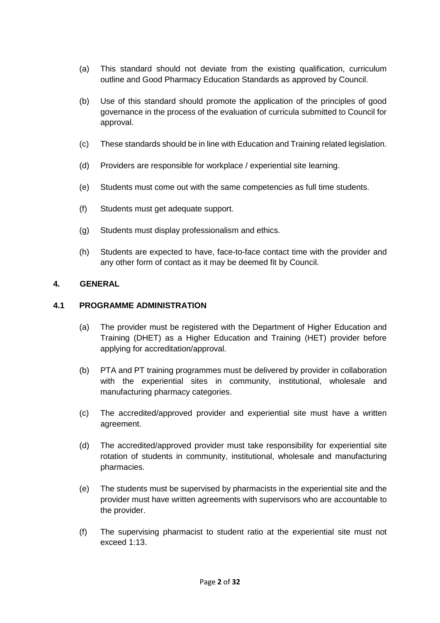- (a) This standard should not deviate from the existing qualification, curriculum outline and Good Pharmacy Education Standards as approved by Council.
- (b) Use of this standard should promote the application of the principles of good governance in the process of the evaluation of curricula submitted to Council for approval.
- (c) These standards should be in line with Education and Training related legislation.
- (d) Providers are responsible for workplace / experiential site learning.
- (e) Students must come out with the same competencies as full time students.
- (f) Students must get adequate support.
- (g) Students must display professionalism and ethics.
- (h) Students are expected to have, face-to-face contact time with the provider and any other form of contact as it may be deemed fit by Council.

### **4. GENERAL**

### **4.1 PROGRAMME ADMINISTRATION**

- (a) The provider must be registered with the Department of Higher Education and Training (DHET) as a Higher Education and Training (HET) provider before applying for accreditation/approval.
- (b) PTA and PT training programmes must be delivered by provider in collaboration with the experiential sites in community, institutional, wholesale and manufacturing pharmacy categories.
- (c) The accredited/approved provider and experiential site must have a written agreement.
- (d) The accredited/approved provider must take responsibility for experiential site rotation of students in community, institutional, wholesale and manufacturing pharmacies.
- (e) The students must be supervised by pharmacists in the experiential site and the provider must have written agreements with supervisors who are accountable to the provider.
- (f) The supervising pharmacist to student ratio at the experiential site must not exceed 1:13.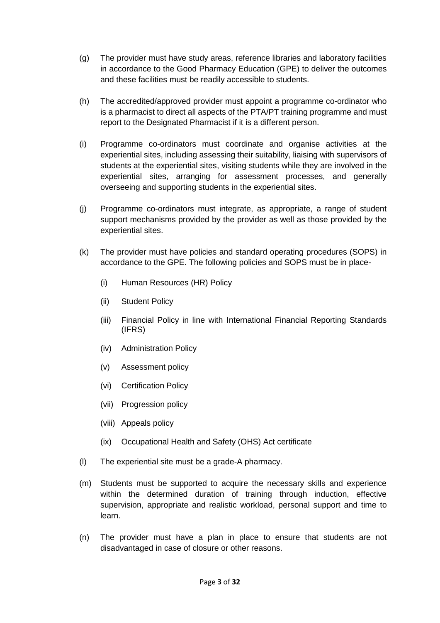- (g) The provider must have study areas, reference libraries and laboratory facilities in accordance to the Good Pharmacy Education (GPE) to deliver the outcomes and these facilities must be readily accessible to students.
- (h) The accredited/approved provider must appoint a programme co-ordinator who is a pharmacist to direct all aspects of the PTA/PT training programme and must report to the Designated Pharmacist if it is a different person.
- (i) Programme co-ordinators must coordinate and organise activities at the experiential sites, including assessing their suitability, liaising with supervisors of students at the experiential sites, visiting students while they are involved in the experiential sites, arranging for assessment processes, and generally overseeing and supporting students in the experiential sites.
- (j) Programme co-ordinators must integrate, as appropriate, a range of student support mechanisms provided by the provider as well as those provided by the experiential sites.
- (k) The provider must have policies and standard operating procedures (SOPS) in accordance to the GPE. The following policies and SOPS must be in place-
	- (i) Human Resources (HR) Policy
	- (ii) Student Policy
	- (iii) Financial Policy in line with International Financial Reporting Standards (IFRS)
	- (iv) Administration Policy
	- (v) Assessment policy
	- (vi) Certification Policy
	- (vii) Progression policy
	- (viii) Appeals policy
	- (ix) Occupational Health and Safety (OHS) Act certificate
- (l) The experiential site must be a grade-A pharmacy.
- (m) Students must be supported to acquire the necessary skills and experience within the determined duration of training through induction, effective supervision, appropriate and realistic workload, personal support and time to learn.
- (n) The provider must have a plan in place to ensure that students are not disadvantaged in case of closure or other reasons.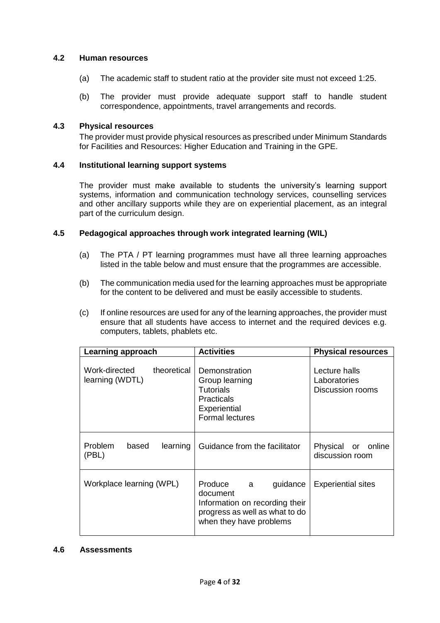### **4.2 Human resources**

- (a) The academic staff to student ratio at the provider site must not exceed 1:25.
- (b) The provider must provide adequate support staff to handle student correspondence, appointments, travel arrangements and records.

### **4.3 Physical resources**

The provider must provide physical resources as prescribed under Minimum Standards for Facilities and Resources: Higher Education and Training in the GPE.

#### **4.4 Institutional learning support systems**

The provider must make available to students the university's learning support systems, information and communication technology services, counselling services and other ancillary supports while they are on experiential placement, as an integral part of the curriculum design.

#### **4.5 Pedagogical approaches through work integrated learning (WIL)**

- (a) The PTA / PT learning programmes must have all three learning approaches listed in the table below and must ensure that the programmes are accessible.
- (b) The communication media used for the learning approaches must be appropriate for the content to be delivered and must be easily accessible to students.
- (c) If online resources are used for any of the learning approaches, the provider must ensure that all students have access to internet and the required devices e.g. computers, tablets, phablets etc.

| Learning approach                               | <b>Activities</b>                                                                                                                   | <b>Physical resources</b>                         |  |
|-------------------------------------------------|-------------------------------------------------------------------------------------------------------------------------------------|---------------------------------------------------|--|
| Work-directed<br>theoretical<br>learning (WDTL) | Demonstration<br>Group learning<br>Tutorials<br><b>Practicals</b><br>Experiential<br><b>Formal lectures</b>                         | Lecture halls<br>Laboratories<br>Discussion rooms |  |
| <b>Problem</b><br>learning<br>based<br>(PBL)    | Guidance from the facilitator                                                                                                       | Physical or online<br>discussion room             |  |
| Workplace learning (WPL)                        | Produce<br>guidance<br>a<br>document<br>Information on recording their<br>progress as well as what to do<br>when they have problems | <b>Experiential sites</b>                         |  |

#### **4.6 Assessments**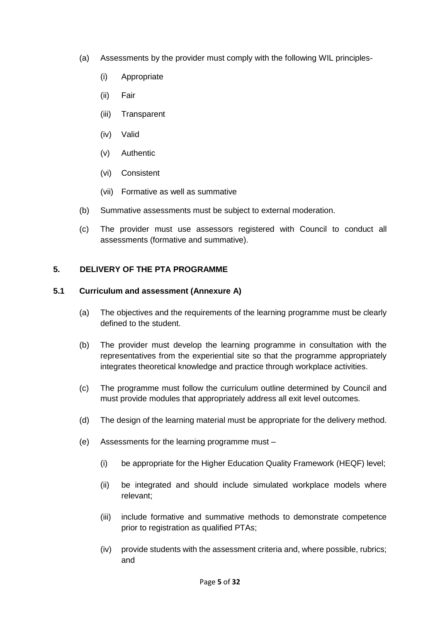- (a) Assessments by the provider must comply with the following WIL principles-
	- (i) Appropriate
	- (ii) Fair
	- (iii) Transparent
	- (iv) Valid
	- (v) Authentic
	- (vi) Consistent
	- (vii) Formative as well as summative
- (b) Summative assessments must be subject to external moderation.
- (c) The provider must use assessors registered with Council to conduct all assessments (formative and summative).

### **5. DELIVERY OF THE PTA PROGRAMME**

### **5.1 Curriculum and assessment (Annexure A)**

- (a) The objectives and the requirements of the learning programme must be clearly defined to the student.
- (b) The provider must develop the learning programme in consultation with the representatives from the experiential site so that the programme appropriately integrates theoretical knowledge and practice through workplace activities.
- (c) The programme must follow the curriculum outline determined by Council and must provide modules that appropriately address all exit level outcomes.
- (d) The design of the learning material must be appropriate for the delivery method.
- (e) Assessments for the learning programme must
	- (i) be appropriate for the Higher Education Quality Framework (HEQF) level;
	- (ii) be integrated and should include simulated workplace models where relevant;
	- (iii) include formative and summative methods to demonstrate competence prior to registration as qualified PTAs;
	- (iv) provide students with the assessment criteria and, where possible, rubrics; and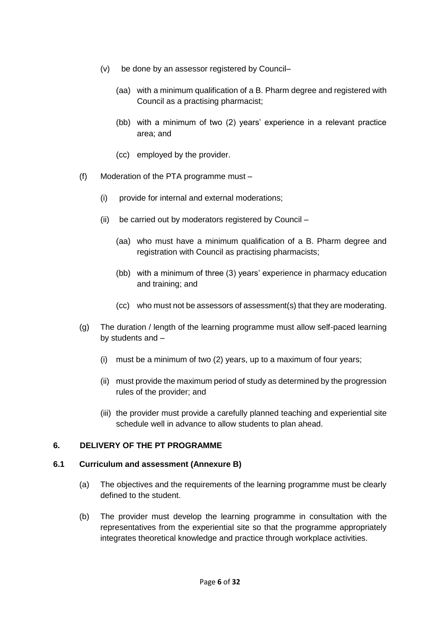- (v) be done by an assessor registered by Council–
	- (aa) with a minimum qualification of a B. Pharm degree and registered with Council as a practising pharmacist;
	- (bb) with a minimum of two (2) years' experience in a relevant practice area; and
	- (cc) employed by the provider.
- (f) Moderation of the PTA programme must
	- (i) provide for internal and external moderations;
	- (ii) be carried out by moderators registered by Council
		- (aa) who must have a minimum qualification of a B. Pharm degree and registration with Council as practising pharmacists;
		- (bb) with a minimum of three (3) years' experience in pharmacy education and training; and
		- (cc) who must not be assessors of assessment(s) that they are moderating.
- (g) The duration / length of the learning programme must allow self-paced learning by students and –
	- (i) must be a minimum of two (2) years, up to a maximum of four years;
	- (ii) must provide the maximum period of study as determined by the progression rules of the provider; and
	- (iii) the provider must provide a carefully planned teaching and experiential site schedule well in advance to allow students to plan ahead.

### **6. DELIVERY OF THE PT PROGRAMME**

### **6.1 Curriculum and assessment (Annexure B)**

- (a) The objectives and the requirements of the learning programme must be clearly defined to the student.
- (b) The provider must develop the learning programme in consultation with the representatives from the experiential site so that the programme appropriately integrates theoretical knowledge and practice through workplace activities.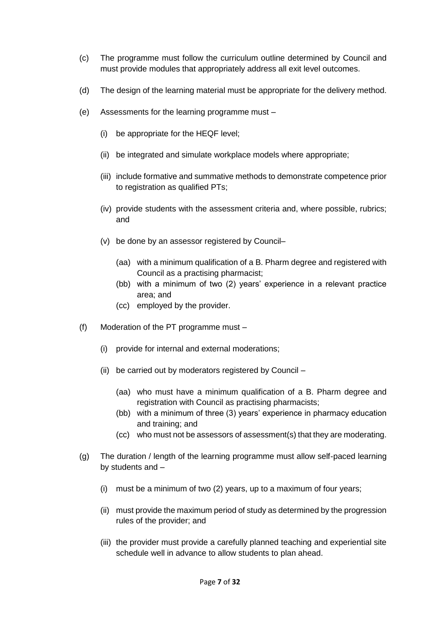- (c) The programme must follow the curriculum outline determined by Council and must provide modules that appropriately address all exit level outcomes.
- (d) The design of the learning material must be appropriate for the delivery method.
- (e) Assessments for the learning programme must
	- (i) be appropriate for the HEQF level;
	- (ii) be integrated and simulate workplace models where appropriate;
	- (iii) include formative and summative methods to demonstrate competence prior to registration as qualified PTs;
	- (iv) provide students with the assessment criteria and, where possible, rubrics; and
	- (v) be done by an assessor registered by Council–
		- (aa) with a minimum qualification of a B. Pharm degree and registered with Council as a practising pharmacist;
		- (bb) with a minimum of two (2) years' experience in a relevant practice area; and
		- (cc) employed by the provider.
- (f) Moderation of the PT programme must
	- (i) provide for internal and external moderations;
	- (ii) be carried out by moderators registered by Council
		- (aa) who must have a minimum qualification of a B. Pharm degree and registration with Council as practising pharmacists;
		- (bb) with a minimum of three (3) years' experience in pharmacy education and training; and
		- (cc) who must not be assessors of assessment(s) that they are moderating.
- (g) The duration / length of the learning programme must allow self-paced learning by students and –
	- (i) must be a minimum of two (2) years, up to a maximum of four years;
	- (ii) must provide the maximum period of study as determined by the progression rules of the provider; and
	- (iii) the provider must provide a carefully planned teaching and experiential site schedule well in advance to allow students to plan ahead.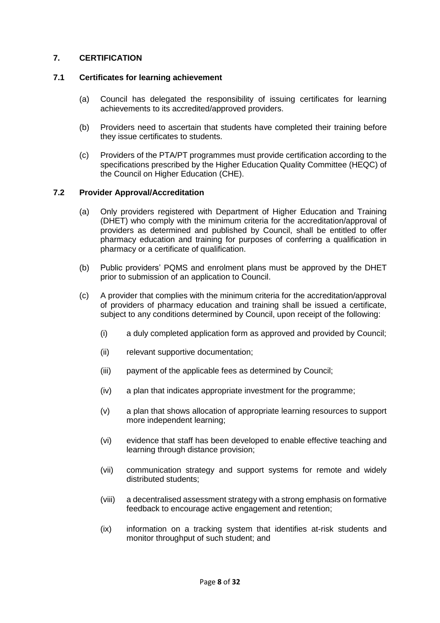## **7. CERTIFICATION**

### **7.1 Certificates for learning achievement**

- (a) Council has delegated the responsibility of issuing certificates for learning achievements to its accredited/approved providers.
- (b) Providers need to ascertain that students have completed their training before they issue certificates to students.
- (c) Providers of the PTA/PT programmes must provide certification according to the specifications prescribed by the Higher Education Quality Committee (HEQC) of the Council on Higher Education (CHE).

### **7.2 Provider Approval/Accreditation**

- (a) Only providers registered with Department of Higher Education and Training (DHET) who comply with the minimum criteria for the accreditation/approval of providers as determined and published by Council, shall be entitled to offer pharmacy education and training for purposes of conferring a qualification in pharmacy or a certificate of qualification.
- (b) Public providers' PQMS and enrolment plans must be approved by the DHET prior to submission of an application to Council.
- (c) A provider that complies with the minimum criteria for the accreditation/approval of providers of pharmacy education and training shall be issued a certificate, subject to any conditions determined by Council, upon receipt of the following:
	- (i) a duly completed application form as approved and provided by Council;
	- (ii) relevant supportive documentation;
	- (iii) payment of the applicable fees as determined by Council;
	- (iv) a plan that indicates appropriate investment for the programme;
	- (v) a plan that shows allocation of appropriate learning resources to support more independent learning;
	- (vi) evidence that staff has been developed to enable effective teaching and learning through distance provision;
	- (vii) communication strategy and support systems for remote and widely distributed students;
	- (viii) a decentralised assessment strategy with a strong emphasis on formative feedback to encourage active engagement and retention;
	- (ix) information on a tracking system that identifies at-risk students and monitor throughput of such student; and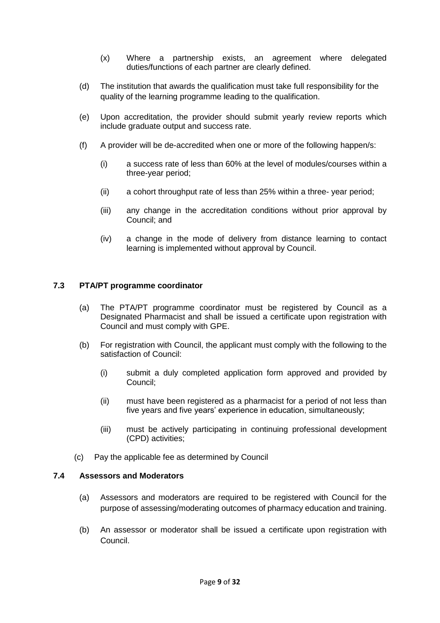- (x) Where a partnership exists, an agreement where delegated duties/functions of each partner are clearly defined.
- (d) The institution that awards the qualification must take full responsibility for the quality of the learning programme leading to the qualification.
- (e) Upon accreditation, the provider should submit yearly review reports which include graduate output and success rate.
- (f) A provider will be de-accredited when one or more of the following happen/s:
	- (i) a success rate of less than 60% at the level of modules/courses within a three-year period;
	- (ii) a cohort throughput rate of less than 25% within a three- year period;
	- (iii) any change in the accreditation conditions without prior approval by Council; and
	- (iv) a change in the mode of delivery from distance learning to contact learning is implemented without approval by Council.

### **7.3 PTA/PT programme coordinator**

- (a) The PTA/PT programme coordinator must be registered by Council as a Designated Pharmacist and shall be issued a certificate upon registration with Council and must comply with GPE.
- (b) For registration with Council, the applicant must comply with the following to the satisfaction of Council:
	- (i) submit a duly completed application form approved and provided by Council;
	- (ii) must have been registered as a pharmacist for a period of not less than five years and five years' experience in education, simultaneously;
	- (iii) must be actively participating in continuing professional development (CPD) activities;
- (c) Pay the applicable fee as determined by Council

#### **7.4 Assessors and Moderators**

- (a) Assessors and moderators are required to be registered with Council for the purpose of assessing/moderating outcomes of pharmacy education and training.
- (b) An assessor or moderator shall be issued a certificate upon registration with Council.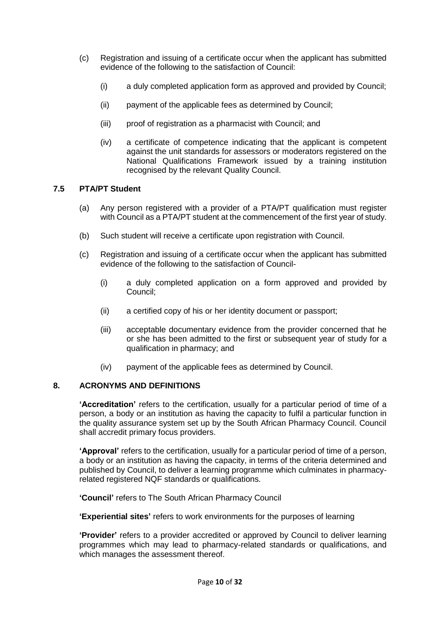- (c) Registration and issuing of a certificate occur when the applicant has submitted evidence of the following to the satisfaction of Council:
	- (i) a duly completed application form as approved and provided by Council;
	- (ii) payment of the applicable fees as determined by Council;
	- (iii) proof of registration as a pharmacist with Council; and
	- (iv) a certificate of competence indicating that the applicant is competent against the unit standards for assessors or moderators registered on the National Qualifications Framework issued by a training institution recognised by the relevant Quality Council.

### **7.5 PTA/PT Student**

- (a) Any person registered with a provider of a PTA/PT qualification must register with Council as a PTA/PT student at the commencement of the first year of study.
- (b) Such student will receive a certificate upon registration with Council.
- (c) Registration and issuing of a certificate occur when the applicant has submitted evidence of the following to the satisfaction of Council-
	- (i) a duly completed application on a form approved and provided by Council;
	- (ii) a certified copy of his or her identity document or passport;
	- (iii) acceptable documentary evidence from the provider concerned that he or she has been admitted to the first or subsequent year of study for a qualification in pharmacy; and
	- (iv) payment of the applicable fees as determined by Council.

### **8. ACRONYMS AND DEFINITIONS**

**'Accreditation'** refers to the certification, usually for a particular period of time of a person, a body or an institution as having the capacity to fulfil a particular function in the quality assurance system set up by the South African Pharmacy Council. Council shall accredit primary focus providers.

**'Approval'** refers to the certification, usually for a particular period of time of a person, a body or an institution as having the capacity, in terms of the criteria determined and published by Council, to deliver a learning programme which culminates in pharmacyrelated registered NQF standards or qualifications.

**'Council'** refers to The South African Pharmacy Council

**'Experiential sites'** refers to work environments for the purposes of learning

**'Provider'** refers to a provider accredited or approved by Council to deliver learning programmes which may lead to pharmacy-related standards or qualifications, and which manages the assessment thereof.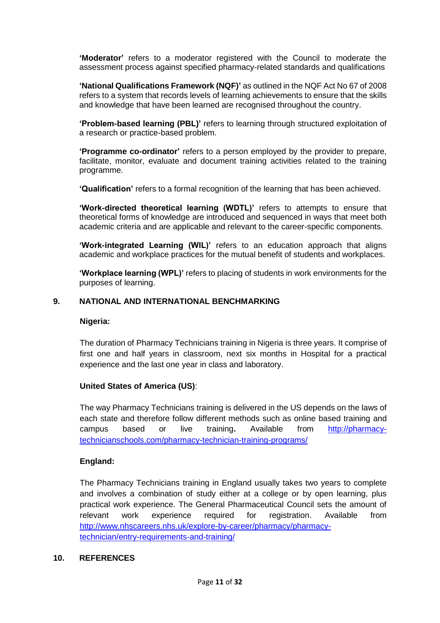**'Moderator'** refers to a moderator registered with the Council to moderate the assessment process against specified pharmacy-related standards and qualifications

**'National Qualifications Framework (NQF)'** as outlined in the NQF Act No 67 of 2008 refers to a system that records levels of learning achievements to ensure that the skills and knowledge that have been learned are recognised throughout the country.

**'Problem-based learning (PBL)'** refers to learning through structured exploitation of a research or practice-based problem.

**'Programme co-ordinator'** refers to a person employed by the provider to prepare, facilitate, monitor, evaluate and document training activities related to the training programme.

**'Qualification'** refers to a formal recognition of the learning that has been achieved.

**'Work-directed theoretical learning (WDTL)'** refers to attempts to ensure that theoretical forms of knowledge are introduced and sequenced in ways that meet both academic criteria and are applicable and relevant to the career-specific components.

**'Work-integrated Learning (WIL)'** refers to an education approach that aligns academic and workplace practices for the mutual benefit of students and workplaces.

**'Workplace learning (WPL)'** refers to placing of students in work environments for the purposes of learning.

### **9. NATIONAL AND INTERNATIONAL BENCHMARKING**

#### **Nigeria:**

The duration of Pharmacy Technicians training in Nigeria is three years. It comprise of first one and half years in classroom, next six months in Hospital for a practical experience and the last one year in class and laboratory.

#### **United States of America (US)**:

The way Pharmacy Technicians training is delivered in the US depends on the laws of each state and therefore follow different methods such as online based training and campus based or live training**.** Available from [http://pharmacy](http://pharmacy-technicianschools.com/pharmacy-technician-training-programs/)[technicianschools.com/pharmacy-technician-training-programs/](http://pharmacy-technicianschools.com/pharmacy-technician-training-programs/)

### **England:**

The Pharmacy Technicians training in England usually takes two years to complete and involves a combination of study either at a college or by open learning, plus practical work experience. The General Pharmaceutical Council sets the amount of relevant work experience required for registration. Available from [http://www.nhscareers.nhs.uk/explore-by-career/pharmacy/pharmacy](http://www.nhscareers.nhs.uk/explore-by-career/pharmacy/pharmacy-technician/entry-requirements-and-training/)[technician/entry-requirements-and-training/](http://www.nhscareers.nhs.uk/explore-by-career/pharmacy/pharmacy-technician/entry-requirements-and-training/)

### **10. REFERENCES**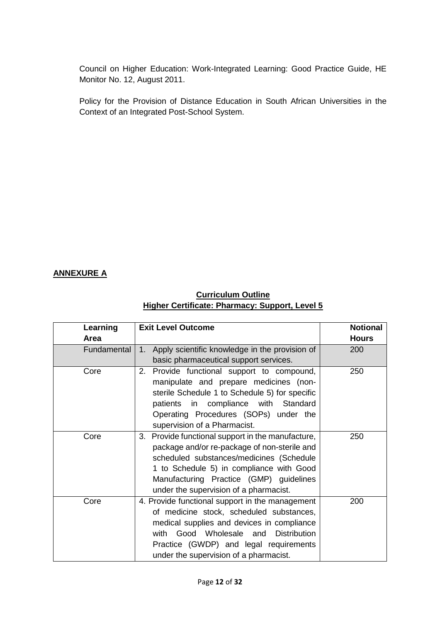Council on Higher Education: Work-Integrated Learning: Good Practice Guide, HE Monitor No. 12, August 2011.

Policy for the Provision of Distance Education in South African Universities in the Context of an Integrated Post-School System.

## **ANNEXURE A**

## **Curriculum Outline Higher Certificate: Pharmacy: Support, Level 5**

| Learning    | <b>Exit Level Outcome</b>                            | <b>Notional</b> |
|-------------|------------------------------------------------------|-----------------|
| Area        |                                                      | <b>Hours</b>    |
| Fundamental | Apply scientific knowledge in the provision of<br>1. | 200             |
|             | basic pharmaceutical support services.               |                 |
| Core        | Provide functional support to compound,<br>2.        | 250             |
|             | manipulate and prepare medicines (non-               |                 |
|             | sterile Schedule 1 to Schedule 5) for specific       |                 |
|             | patients in compliance with Standard                 |                 |
|             | Operating Procedures (SOPs) under the                |                 |
|             | supervision of a Pharmacist.                         |                 |
| Core        | Provide functional support in the manufacture,<br>3. | 250             |
|             | package and/or re-package of non-sterile and         |                 |
|             | scheduled substances/medicines (Schedule             |                 |
|             | 1 to Schedule 5) in compliance with Good             |                 |
|             | Manufacturing Practice (GMP) guidelines              |                 |
|             | under the supervision of a pharmacist.               |                 |
| Core        | 4. Provide functional support in the management      | 200             |
|             | of medicine stock, scheduled substances,             |                 |
|             | medical supplies and devices in compliance           |                 |
|             | with Good Wholesale and<br><b>Distribution</b>       |                 |
|             | Practice (GWDP) and legal requirements               |                 |
|             | under the supervision of a pharmacist.               |                 |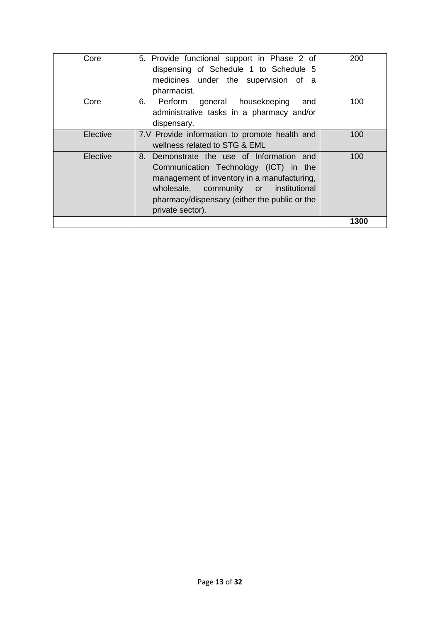| Core     | 5. Provide functional support in Phase 2 of<br>dispensing of Schedule 1 to Schedule 5<br>medicines under the supervision of a<br>pharmacist.                                                                                                       | 200  |
|----------|----------------------------------------------------------------------------------------------------------------------------------------------------------------------------------------------------------------------------------------------------|------|
| Core     | 6.<br>Perform<br>general housekeeping<br>and<br>administrative tasks in a pharmacy and/or<br>dispensary.                                                                                                                                           | 100  |
| Elective | 7.V Provide information to promote health and<br>wellness related to STG & EML                                                                                                                                                                     | 100  |
| Elective | Demonstrate the use of Information and<br>8.<br>Communication Technology (ICT) in the<br>management of inventory in a manufacturing,<br>wholesale, community or institutional<br>pharmacy/dispensary (either the public or the<br>private sector). | 100  |
|          |                                                                                                                                                                                                                                                    | 1300 |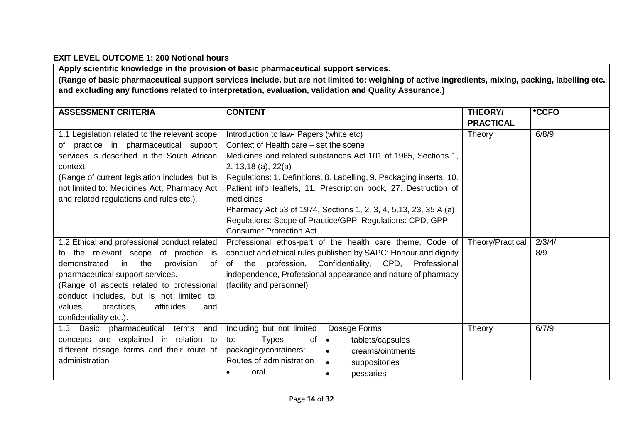## **EXIT LEVEL OUTCOME 1: 200 Notional hours**

**Apply scientific knowledge in the provision of basic pharmaceutical support services.**

**(Range of basic pharmaceutical support services include, but are not limited to: weighing of active ingredients, mixing, packing, labelling etc. and excluding any functions related to interpretation, evaluation, validation and Quality Assurance.)**

| <b>ASSESSMENT CRITERIA</b>                                                                                                                                                                                                                                                                                                               | <b>CONTENT</b>                                                                                                                                             |                                                                                                                                                                                                                                                                                                                                             | THEORY/<br><b>PRACTICAL</b> | *CCFO         |
|------------------------------------------------------------------------------------------------------------------------------------------------------------------------------------------------------------------------------------------------------------------------------------------------------------------------------------------|------------------------------------------------------------------------------------------------------------------------------------------------------------|---------------------------------------------------------------------------------------------------------------------------------------------------------------------------------------------------------------------------------------------------------------------------------------------------------------------------------------------|-----------------------------|---------------|
| 1.1 Legislation related to the relevant scope<br>of practice in pharmaceutical support<br>services is described in the South African<br>context.<br>(Range of current legislation includes, but is<br>not limited to: Medicines Act, Pharmacy Act<br>and related regulations and rules etc.).                                            | Introduction to law- Papers (white etc)<br>Context of Health care – set the scene<br>2, 13, 18 (a), $22(a)$<br>medicines<br><b>Consumer Protection Act</b> | Medicines and related substances Act 101 of 1965, Sections 1,<br>Regulations: 1. Definitions, 8. Labelling, 9. Packaging inserts, 10.<br>Patient info leaflets, 11. Prescription book, 27. Destruction of<br>Pharmacy Act 53 of 1974, Sections 1, 2, 3, 4, 5, 13, 23, 35 A (a)<br>Regulations: Scope of Practice/GPP, Regulations: CPD, GPP | Theory                      | 6/8/9         |
| 1.2 Ethical and professional conduct related<br>to the relevant scope of practice<br>is<br>demonstrated<br>in the<br>provision<br>0f<br>pharmaceutical support services.<br>(Range of aspects related to professional<br>conduct includes, but is not limited to:<br>practices,<br>attitudes<br>values,<br>and<br>confidentiality etc.). | (facility and personnel)                                                                                                                                   | Professional ethos-part of the health care theme, Code of<br>conduct and ethical rules published by SAPC: Honour and dignity<br>of the profession, Confidentiality, CPD, Professional<br>independence, Professional appearance and nature of pharmacy                                                                                       | Theory/Practical            | 2/3/4/<br>8/9 |
| 1.3 Basic pharmaceutical<br>terms<br>and<br>concepts are explained in relation to<br>different dosage forms and their route of<br>administration                                                                                                                                                                                         | Including but not limited<br><b>Types</b><br>to:<br>of<br>packaging/containers:<br>Routes of administration<br>oral<br>$\bullet$                           | Dosage Forms<br>tablets/capsules<br>$\bullet$<br>creams/ointments<br>$\bullet$<br>suppositories<br>$\bullet$<br>pessaries<br>$\bullet$                                                                                                                                                                                                      | Theory                      | 6/7/9         |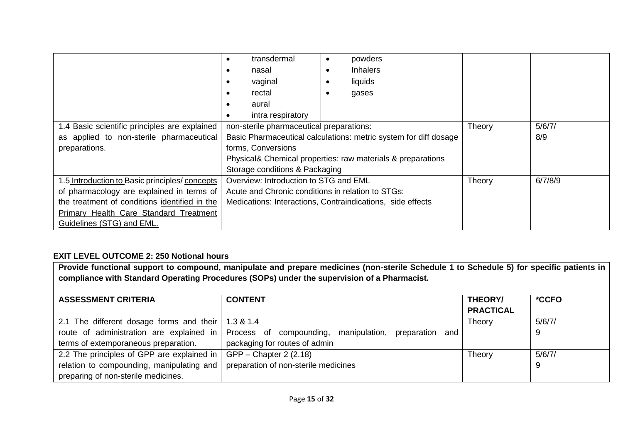|                                                | transdermal                                       | powders                                                          |        |         |
|------------------------------------------------|---------------------------------------------------|------------------------------------------------------------------|--------|---------|
|                                                | nasal                                             | <b>Inhalers</b>                                                  |        |         |
|                                                | vaginal                                           | liquids                                                          |        |         |
|                                                | rectal                                            | gases                                                            |        |         |
|                                                | aural                                             |                                                                  |        |         |
|                                                | intra respiratory                                 |                                                                  |        |         |
| 1.4 Basic scientific principles are explained  | non-sterile pharmaceutical preparations:          |                                                                  | Theory | 5/6/7/  |
| as applied to non-sterile pharmaceutical       |                                                   | Basic Pharmaceutical calculations: metric system for diff dosage |        | 8/9     |
| preparations.                                  | forms, Conversions                                |                                                                  |        |         |
|                                                |                                                   | Physical& Chemical properties: raw materials & preparations      |        |         |
|                                                | Storage conditions & Packaging                    |                                                                  |        |         |
| 1.5 Introduction to Basic principles/ concepts | Overview: Introduction to STG and EML             |                                                                  | Theory | 6/7/8/9 |
| of pharmacology are explained in terms of      | Acute and Chronic conditions in relation to STGs: |                                                                  |        |         |
| the treatment of conditions identified in the  |                                                   | Medications: Interactions, Contraindications, side effects       |        |         |
| Primary Health Care Standard Treatment         |                                                   |                                                                  |        |         |
| Guidelines (STG) and EML.                      |                                                   |                                                                  |        |         |

## **EXIT LEVEL OUTCOME 2: 250 Notional hours**

| Provide functional support to compound, manipulate and prepare medicines (non-sterile Schedule 1 to Schedule 5) for specific patients in<br>compliance with Standard Operating Procedures (SOPs) under the supervision of a Pharmacist. |                                                                |                             |        |
|-----------------------------------------------------------------------------------------------------------------------------------------------------------------------------------------------------------------------------------------|----------------------------------------------------------------|-----------------------------|--------|
| <b>ASSESSMENT CRITERIA</b>                                                                                                                                                                                                              | <b>CONTENT</b>                                                 | THEORY/<br><b>PRACTICAL</b> | *CCFO  |
| 2.1 The different dosage forms and their                                                                                                                                                                                                | 1.3 & 1.4                                                      | Theory                      | 5/6/7/ |
| route of administration are explained in                                                                                                                                                                                                | manipulation,<br>Process of compounding,<br>preparation<br>and |                             | 9      |
| terms of extemporaneous preparation.                                                                                                                                                                                                    | packaging for routes of admin                                  |                             |        |
| 2.2 The principles of GPP are explained in                                                                                                                                                                                              | GPP – Chapter 2 (2.18)                                         | Theory                      | 5/6/7/ |
| relation to compounding, manipulating and<br>preparing of non-sterile medicines.                                                                                                                                                        | preparation of non-sterile medicines                           |                             | 9      |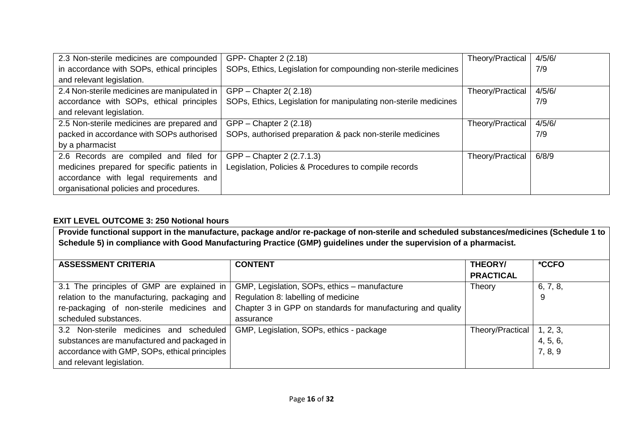| 2.3 Non-sterile medicines are compounded     | GPP- Chapter 2 (2.18)                                            | Theory/Practical | 4/5/6/ |
|----------------------------------------------|------------------------------------------------------------------|------------------|--------|
| in accordance with SOPs, ethical principles  | SOPs, Ethics, Legislation for compounding non-sterile medicines  |                  | 7/9    |
| and relevant legislation.                    |                                                                  |                  |        |
| 2.4 Non-sterile medicines are manipulated in | $GPP - Chapter 2(2.18)$                                          | Theory/Practical | 4/5/6/ |
| accordance with SOPs, ethical principles     | SOPs, Ethics, Legislation for manipulating non-sterile medicines |                  | 7/9    |
| and relevant legislation.                    |                                                                  |                  |        |
| 2.5 Non-sterile medicines are prepared and   | $GPP - Chapter 2 (2.18)$                                         | Theory/Practical | 4/5/6/ |
| packed in accordance with SOPs authorised    | SOPs, authorised preparation & pack non-sterile medicines        |                  | 7/9    |
| by a pharmacist                              |                                                                  |                  |        |
| 2.6 Records are compiled and filed for       | GPP – Chapter 2 (2.7.1.3)                                        | Theory/Practical | 6/8/9  |
| medicines prepared for specific patients in  | Legislation, Policies & Procedures to compile records            |                  |        |
| accordance with legal requirements and       |                                                                  |                  |        |
| organisational policies and procedures.      |                                                                  |                  |        |

## **EXIT LEVEL OUTCOME 3: 250 Notional hours**

**Provide functional support in the manufacture, package and/or re-package of non-sterile and scheduled substances/medicines (Schedule 1 to Schedule 5) in compliance with Good Manufacturing Practice (GMP) guidelines under the supervision of a pharmacist.**

| <b>ASSESSMENT CRITERIA</b>                    | <b>CONTENT</b>                                              | THEORY/                     | *CCFO    |
|-----------------------------------------------|-------------------------------------------------------------|-----------------------------|----------|
|                                               |                                                             | <b>PRACTICAL</b>            |          |
| 3.1 The principles of GMP are explained in    | GMP, Legislation, SOPs, ethics - manufacture                | Theory                      | 6, 7, 8, |
| relation to the manufacturing, packaging and  | Regulation 8: labelling of medicine                         |                             | 9        |
| re-packaging of non-sterile medicines and     | Chapter 3 in GPP on standards for manufacturing and quality |                             |          |
| scheduled substances.                         | assurance                                                   |                             |          |
| 3.2 Non-sterile medicines and scheduled       | GMP, Legislation, SOPs, ethics - package                    | Theory/Practical   1, 2, 3, |          |
| substances are manufactured and packaged in   |                                                             |                             | 4, 5, 6, |
| accordance with GMP, SOPs, ethical principles |                                                             |                             | 7, 8, 9  |
| and relevant legislation.                     |                                                             |                             |          |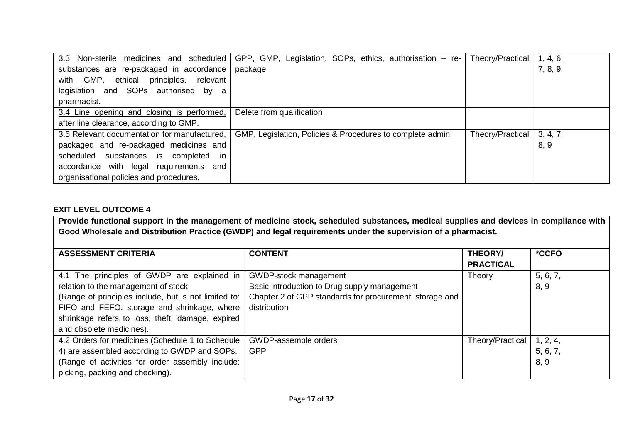| 3.3 Non-sterile medicines and scheduled         | GPP, GMP, Legislation, SOPs, ethics, authorisation – re-  | Theory/Practical | 1, 4, 6, |
|-------------------------------------------------|-----------------------------------------------------------|------------------|----------|
| substances are re-packaged in accordance        | package                                                   |                  | 7, 8, 9  |
| principles,<br>with GMP,<br>ethical<br>relevant |                                                           |                  |          |
| legislation and SOPs authorised by a            |                                                           |                  |          |
| pharmacist.                                     |                                                           |                  |          |
| 3.4 Line opening and closing is performed,      | Delete from qualification                                 |                  |          |
| after line clearance, according to GMP.         |                                                           |                  |          |
| 3.5 Relevant documentation for manufactured,    | GMP, Legislation, Policies & Procedures to complete admin | Theory/Practical | 3, 4, 7, |
| packaged and re-packaged medicines and          |                                                           |                  | 8, 9     |
| substances is completed<br>scheduled<br>-in     |                                                           |                  |          |
| requirements and<br>with legal<br>accordance    |                                                           |                  |          |
| organisational policies and procedures.         |                                                           |                  |          |

## **EXIT LEVEL OUTCOME 4**

**Provide functional support in the management of medicine stock, scheduled substances, medical supplies and devices in compliance with Good Wholesale and Distribution Practice (GWDP) and legal requirements under the supervision of a pharmacist.**

| <b>ASSESSMENT CRITERIA</b>                           | <b>CONTENT</b>                                          | THEORY/          | *CCFO    |
|------------------------------------------------------|---------------------------------------------------------|------------------|----------|
|                                                      |                                                         | <b>PRACTICAL</b> |          |
| 4.1 The principles of GWDP are explained in          | GWDP-stock management                                   | Theory           | 5, 6, 7, |
| relation to the management of stock.                 | Basic introduction to Drug supply management            |                  | 8, 9     |
| (Range of principles include, but is not limited to: | Chapter 2 of GPP standards for procurement, storage and |                  |          |
| FIFO and FEFO, storage and shrinkage, where          | distribution                                            |                  |          |
| shrinkage refers to loss, theft, damage, expired     |                                                         |                  |          |
| and obsolete medicines).                             |                                                         |                  |          |
| 4.2 Orders for medicines (Schedule 1 to Schedule     | GWDP-assemble orders                                    | Theory/Practical | 1, 2, 4, |
| 4) are assembled according to GWDP and SOPs.         | <b>GPP</b>                                              |                  | 5, 6, 7, |
| (Range of activities for order assembly include:     |                                                         |                  | 8, 9     |
| picking, packing and checking).                      |                                                         |                  |          |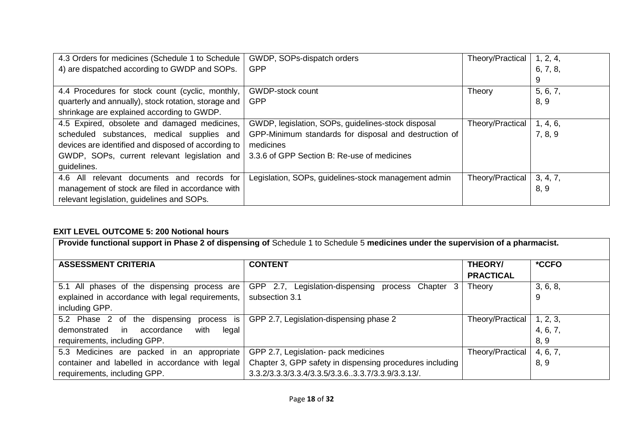| 4.3 Orders for medicines (Schedule 1 to Schedule     | GWDP, SOPs-dispatch orders                            | Theory/Practical | 1, 2, 4, |
|------------------------------------------------------|-------------------------------------------------------|------------------|----------|
| 4) are dispatched according to GWDP and SOPs.        | <b>GPP</b>                                            |                  | 6, 7, 8, |
|                                                      |                                                       |                  | 9        |
| 4.4 Procedures for stock count (cyclic, monthly,     | <b>GWDP-stock count</b>                               | Theory           | 5, 6, 7, |
| quarterly and annually), stock rotation, storage and | <b>GPP</b>                                            |                  | 8, 9     |
| shrinkage are explained according to GWDP.           |                                                       |                  |          |
| 4.5 Expired, obsolete and damaged medicines,         | GWDP, legislation, SOPs, guidelines-stock disposal    | Theory/Practical | 1, 4, 6, |
| scheduled substances, medical supplies and           | GPP-Minimum standards for disposal and destruction of |                  | 7, 8, 9  |
| devices are identified and disposed of according to  | medicines                                             |                  |          |
| GWDP, SOPs, current relevant legislation and         | 3.3.6 of GPP Section B: Re-use of medicines           |                  |          |
| guidelines.                                          |                                                       |                  |          |
| 4.6 All relevant documents and records for           | Legislation, SOPs, guidelines-stock management admin  | Theory/Practical | 3, 4, 7, |
| management of stock are filed in accordance with     |                                                       |                  | 8, 9     |
| relevant legislation, guidelines and SOPs.           |                                                       |                  |          |

# **EXIT LEVEL OUTCOME 5: 200 Notional hours**

| Provide functional support in Phase 2 of dispensing of Schedule 1 to Schedule 5 medicines under the supervision of a pharmacist. |                                                                                                                                                       |                                    |                              |  |
|----------------------------------------------------------------------------------------------------------------------------------|-------------------------------------------------------------------------------------------------------------------------------------------------------|------------------------------------|------------------------------|--|
| <b>ASSESSMENT CRITERIA</b>                                                                                                       | <b>CONTENT</b>                                                                                                                                        | <b>THEORY/</b><br><b>PRACTICAL</b> | *CCFO                        |  |
| 5.1 All phases of the dispensing process are<br>explained in accordance with legal requirements,<br>including GPP.               | GPP 2.7, Legislation-dispensing process Chapter 3<br>subsection 3.1                                                                                   | Theory                             | 3, 6, 8,<br>9                |  |
| process is<br>5.2 Phase 2 of the dispensing<br>demonstrated<br>in<br>accordance<br>with<br>legal<br>requirements, including GPP. | GPP 2.7, Legislation-dispensing phase 2                                                                                                               | Theory/Practical                   | 1, 2, 3,<br>4, 6, 7,<br>8, 9 |  |
| 5.3 Medicines are packed in an appropriate<br>container and labelled in accordance with legal<br>requirements, including GPP.    | GPP 2.7, Legislation- pack medicines<br>Chapter 3, GPP safety in dispensing procedures including<br>3.3.2/3.3.3/3.3.4/3.3.5/3.3.63.3.7/3.3.9/3.3.13/. | Theory/Practical                   | 4, 6, 7,<br>8, 9             |  |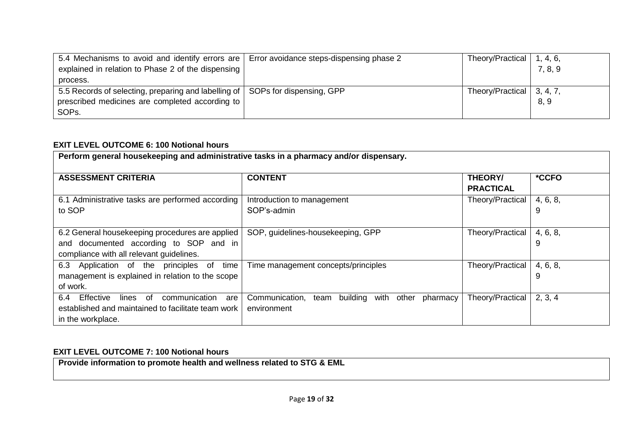| 5.4 Mechanisms to avoid and identify errors are   Error avoidance steps-dispensing phase 2<br>explained in relation to Phase 2 of the dispensing | Theory/Practical            | 1, 4, 6,<br>7, 8, 9 |
|--------------------------------------------------------------------------------------------------------------------------------------------------|-----------------------------|---------------------|
| process.                                                                                                                                         |                             |                     |
| 5.5 Records of selecting, preparing and labelling of   SOPs for dispensing, GPP                                                                  | Theory/Practical   3, 4, 7, |                     |
| prescribed medicines are completed according to                                                                                                  |                             | 8, 9                |
| SOP <sub>s</sub> .                                                                                                                               |                             |                     |

## **EXIT LEVEL OUTCOME 6: 100 Notional hours**

| Perform general housekeeping and administrative tasks in a pharmacy and/or dispensary.                                                |                                                                          |                             |               |
|---------------------------------------------------------------------------------------------------------------------------------------|--------------------------------------------------------------------------|-----------------------------|---------------|
| <b>ASSESSMENT CRITERIA</b>                                                                                                            | <b>CONTENT</b>                                                           | THEORY/<br><b>PRACTICAL</b> | *CCFO         |
| 6.1 Administrative tasks are performed according<br>to SOP                                                                            | Introduction to management<br>SOP's-admin                                | Theory/Practical            | 4, 6, 8,<br>9 |
| 6.2 General housekeeping procedures are applied<br>and documented according to SOP and in<br>compliance with all relevant guidelines. | SOP, guidelines-housekeeping, GPP                                        | Theory/Practical            | 4, 6, 8,<br>9 |
| 6.3 Application of the principles of time<br>management is explained in relation to the scope<br>of work.                             | Time management concepts/principles                                      | Theory/Practical            | 4, 6, 8,<br>9 |
| Effective<br>communication<br>6.4<br>lines of<br>are<br>established and maintained to facilitate team work<br>in the workplace.       | building with other<br>Communication,<br>pharmacy<br>team<br>environment | Theory/Practical            | 2, 3, 4       |

## **EXIT LEVEL OUTCOME 7: 100 Notional hours**

**Provide information to promote health and wellness related to STG & EML**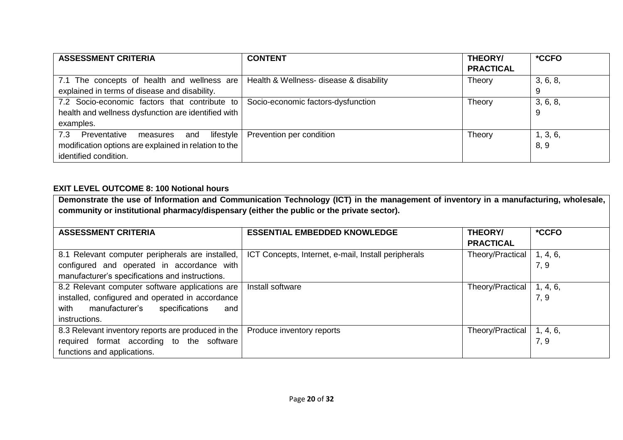| <b>ASSESSMENT CRITERIA</b>                              | <b>CONTENT</b>                          | THEORY/          | *CCFO    |
|---------------------------------------------------------|-----------------------------------------|------------------|----------|
|                                                         |                                         | <b>PRACTICAL</b> |          |
| 7.1 The concepts of health and wellness are             | Health & Wellness- disease & disability | Theory           | 3, 6, 8, |
| explained in terms of disease and disability.           |                                         |                  |          |
| 7.2 Socio-economic factors that contribute to           | Socio-economic factors-dysfunction      | Theory           | 3, 6, 8, |
| health and wellness dysfunction are identified with     |                                         |                  |          |
| examples.                                               |                                         |                  |          |
| 7.3 Preventative<br>$l$ ifestyle $ $<br>and<br>measures | Prevention per condition                | Theory           | 1, 3, 6, |
| modification options are explained in relation to the   |                                         |                  | 8, 9     |
| identified condition.                                   |                                         |                  |          |

## **EXIT LEVEL OUTCOME 8: 100 Notional hours**

**Demonstrate the use of Information and Communication Technology (ICT) in the management of inventory in a manufacturing, wholesale, community or institutional pharmacy/dispensary (either the public or the private sector).**

| <b>ASSESSMENT CRITERIA</b>                         | <b>ESSENTIAL EMBEDDED KNOWLEDGE</b>                 | <b>THEORY/</b>   | *CCFO    |
|----------------------------------------------------|-----------------------------------------------------|------------------|----------|
|                                                    |                                                     | <b>PRACTICAL</b> |          |
| 8.1 Relevant computer peripherals are installed,   | ICT Concepts, Internet, e-mail, Install peripherals | Theory/Practical | 1, 4, 6, |
| configured and operated in accordance with         |                                                     |                  | 7, 9     |
| manufacturer's specifications and instructions.    |                                                     |                  |          |
| 8.2 Relevant computer software applications are    | Install software                                    | Theory/Practical | 1, 4, 6, |
| installed, configured and operated in accordance   |                                                     |                  | 7, 9     |
| manufacturer's<br>with<br>specifications<br>and    |                                                     |                  |          |
| instructions.                                      |                                                     |                  |          |
| 8.3 Relevant inventory reports are produced in the | Produce inventory reports                           | Theory/Practical | 1, 4, 6, |
| required format according to the software          |                                                     |                  | 7, 9     |
| functions and applications.                        |                                                     |                  |          |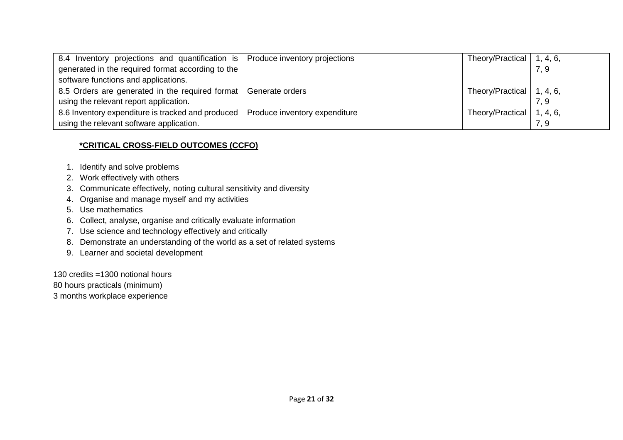| 8.4 Inventory projections and quantification is Produce inventory projections |                               | Theory/Practical   1, 4, 6, |      |
|-------------------------------------------------------------------------------|-------------------------------|-----------------------------|------|
| generated in the required format according to the                             |                               |                             | 7, 9 |
| software functions and applications.                                          |                               |                             |      |
| 8.5 Orders are generated in the required format Generate orders               |                               | Theory/Practical   1, 4, 6, |      |
| using the relevant report application.                                        |                               |                             | 7.9  |
| 8.6 Inventory expenditure is tracked and produced                             | Produce inventory expenditure | Theory/Practical   1, 4, 6, |      |
| using the relevant software application.                                      |                               |                             | 7, 9 |

## **\*CRITICAL CROSS-FIELD OUTCOMES (CCFO)**

- 1. Identify and solve problems
- 2. Work effectively with others
- 3. Communicate effectively, noting cultural sensitivity and diversity
- 4. Organise and manage myself and my activities
- 5. Use mathematics
- 6. Collect, analyse, organise and critically evaluate information
- 7. Use science and technology effectively and critically
- 8. Demonstrate an understanding of the world as a set of related systems
- 9. Learner and societal development

130 credits =1300 notional hours

80 hours practicals (minimum)

3 months workplace experience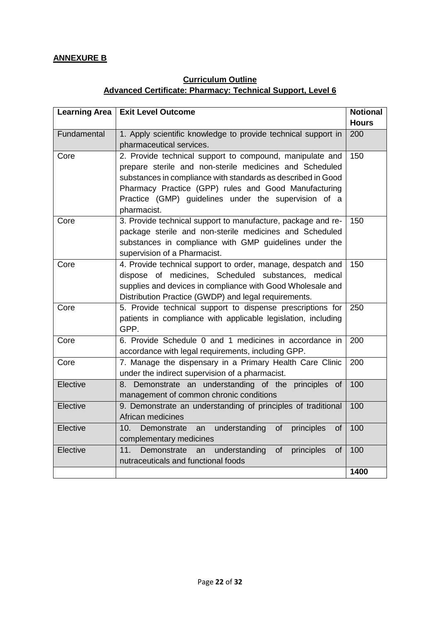## **ANNEXURE B**

# **Curriculum Outline Advanced Certificate: Pharmacy: Technical Support, Level 6**

| <b>Learning Area</b> | <b>Exit Level Outcome</b>                                                                                                                                                                                                                                                                                          | <b>Notional</b><br><b>Hours</b> |
|----------------------|--------------------------------------------------------------------------------------------------------------------------------------------------------------------------------------------------------------------------------------------------------------------------------------------------------------------|---------------------------------|
| Fundamental          | 1. Apply scientific knowledge to provide technical support in<br>pharmaceutical services.                                                                                                                                                                                                                          | 200                             |
| Core                 | 2. Provide technical support to compound, manipulate and<br>prepare sterile and non-sterile medicines and Scheduled<br>substances in compliance with standards as described in Good<br>Pharmacy Practice (GPP) rules and Good Manufacturing<br>Practice (GMP) guidelines under the supervision of a<br>pharmacist. | 150                             |
| Core                 | 3. Provide technical support to manufacture, package and re-<br>package sterile and non-sterile medicines and Scheduled<br>substances in compliance with GMP guidelines under the<br>supervision of a Pharmacist.                                                                                                  | 150                             |
| Core                 | 4. Provide technical support to order, manage, despatch and<br>dispose of medicines, Scheduled substances, medical<br>supplies and devices in compliance with Good Wholesale and<br>Distribution Practice (GWDP) and legal requirements.                                                                           | 150                             |
| Core                 | 5. Provide technical support to dispense prescriptions for<br>patients in compliance with applicable legislation, including<br>GPP.                                                                                                                                                                                | 250                             |
| Core                 | 6. Provide Schedule 0 and 1 medicines in accordance in<br>accordance with legal requirements, including GPP.                                                                                                                                                                                                       | 200                             |
| Core                 | 7. Manage the dispensary in a Primary Health Care Clinic<br>under the indirect supervision of a pharmacist.                                                                                                                                                                                                        | 200                             |
| Elective             | Demonstrate an understanding of the principles<br>8.<br><sub>of</sub><br>management of common chronic conditions                                                                                                                                                                                                   | 100                             |
| Elective             | 9. Demonstrate an understanding of principles of traditional<br>African medicines                                                                                                                                                                                                                                  | 100                             |
| Elective             | understanding<br>of<br>principles<br>10 <sub>1</sub><br>Demonstrate<br>an<br>οf<br>complementary medicines                                                                                                                                                                                                         | 100                             |
| Elective             | Demonstrate<br>understanding<br>11.<br>of<br>principles<br>an<br>of<br>nutraceuticals and functional foods                                                                                                                                                                                                         | 100                             |
|                      |                                                                                                                                                                                                                                                                                                                    | 1400                            |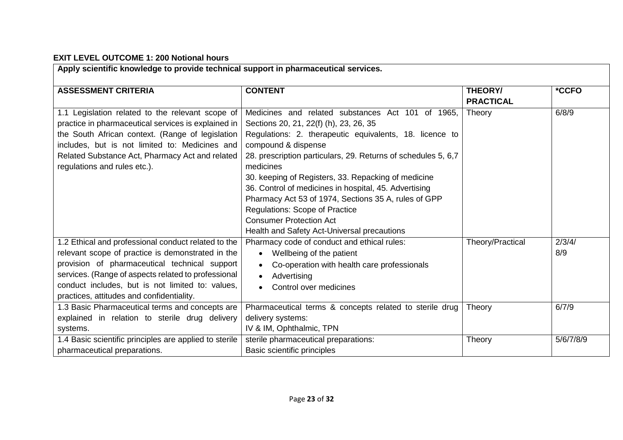# **EXIT LEVEL OUTCOME 1: 200 Notional hours**

| Apply scientific knowledge to provide technical support in pharmaceutical services.                                                                                                                                                                                                                               |                                                                                                                                                                                                                                                                                                                                                                                                                                                                                                                                                               |                                    |                    |
|-------------------------------------------------------------------------------------------------------------------------------------------------------------------------------------------------------------------------------------------------------------------------------------------------------------------|---------------------------------------------------------------------------------------------------------------------------------------------------------------------------------------------------------------------------------------------------------------------------------------------------------------------------------------------------------------------------------------------------------------------------------------------------------------------------------------------------------------------------------------------------------------|------------------------------------|--------------------|
| <b>ASSESSMENT CRITERIA</b>                                                                                                                                                                                                                                                                                        | <b>CONTENT</b>                                                                                                                                                                                                                                                                                                                                                                                                                                                                                                                                                | <b>THEORY/</b><br><b>PRACTICAL</b> | *CCFO              |
| 1.1 Legislation related to the relevant scope of<br>practice in pharmaceutical services is explained in<br>the South African context. (Range of legislation<br>includes, but is not limited to: Medicines and<br>Related Substance Act, Pharmacy Act and related<br>regulations and rules etc.).                  | Medicines and related substances Act 101 of 1965,<br>Sections 20, 21, 22(f) (h), 23, 26, 35<br>Regulations: 2. therapeutic equivalents, 18. licence to<br>compound & dispense<br>28. prescription particulars, 29. Returns of schedules 5, 6,7<br>medicines<br>30. keeping of Registers, 33. Repacking of medicine<br>36. Control of medicines in hospital, 45. Advertising<br>Pharmacy Act 53 of 1974, Sections 35 A, rules of GPP<br><b>Regulations: Scope of Practice</b><br><b>Consumer Protection Act</b><br>Health and Safety Act-Universal precautions | Theory                             | 6/8/9              |
| 1.2 Ethical and professional conduct related to the<br>relevant scope of practice is demonstrated in the<br>provision of pharmaceutical technical support<br>services. (Range of aspects related to professional<br>conduct includes, but is not limited to: values,<br>practices, attitudes and confidentiality. | Pharmacy code of conduct and ethical rules:<br>Wellbeing of the patient<br>Co-operation with health care professionals<br>$\bullet$<br>Advertising<br>Control over medicines                                                                                                                                                                                                                                                                                                                                                                                  | Theory/Practical                   | 2/3/4/<br>8/9      |
| 1.3 Basic Pharmaceutical terms and concepts are<br>explained in relation to sterile drug delivery<br>systems.<br>1.4 Basic scientific principles are applied to sterile                                                                                                                                           | Pharmaceutical terms & concepts related to sterile drug<br>delivery systems:<br>IV & IM, Ophthalmic, TPN<br>sterile pharmaceutical preparations:                                                                                                                                                                                                                                                                                                                                                                                                              | Theory<br>Theory                   | 6/7/9<br>5/6/7/8/9 |
| pharmaceutical preparations.                                                                                                                                                                                                                                                                                      | Basic scientific principles                                                                                                                                                                                                                                                                                                                                                                                                                                                                                                                                   |                                    |                    |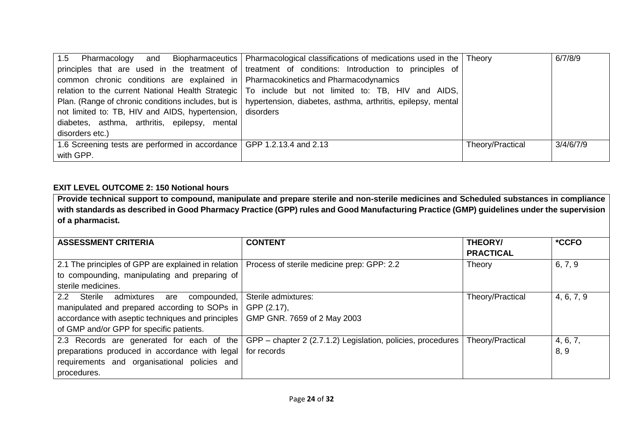|                                                                                         | 1.5 Pharmacology and Biopharmaceutics   Pharmacological classifications of medications used in the   Theory       |                  | 6/7/8/9   |
|-----------------------------------------------------------------------------------------|-------------------------------------------------------------------------------------------------------------------|------------------|-----------|
|                                                                                         | $\vert$ principles that are used in the treatment of treatment of conditions: Introduction to principles of       |                  |           |
| $\sim$ common chronic conditions are explained in Pharmacokinetics and Pharmacodynamics |                                                                                                                   |                  |           |
|                                                                                         | relation to the current National Health Strategic   To include but not limited to: TB, HIV and AIDS,              |                  |           |
|                                                                                         | Plan. (Range of chronic conditions includes, but is   hypertension, diabetes, asthma, arthritis, epilepsy, mental |                  |           |
| not limited to: TB, HIV and AIDS, hypertension, disorders                               |                                                                                                                   |                  |           |
| diabetes, asthma, arthritis, epilepsy, mental                                           |                                                                                                                   |                  |           |
| disorders etc.)                                                                         |                                                                                                                   |                  |           |
| 1.6 Screening tests are performed in accordance   GPP 1.2.13.4 and 2.13                 |                                                                                                                   | Theory/Practical | 3/4/6/7/9 |
| with GPP.                                                                               |                                                                                                                   |                  |           |

## **EXIT LEVEL OUTCOME 2: 150 Notional hours**

**Provide technical support to compound, manipulate and prepare sterile and non-sterile medicines and Scheduled substances in compliance with standards as described in Good Pharmacy Practice (GPP) rules and Good Manufacturing Practice (GMP) guidelines under the supervision of a pharmacist.**

| <b>ASSESSMENT CRITERIA</b>                                                                                                                                                                     | <b>CONTENT</b>                                                    | <b>THEORY/</b><br><b>PRACTICAL</b> | *CCFO            |
|------------------------------------------------------------------------------------------------------------------------------------------------------------------------------------------------|-------------------------------------------------------------------|------------------------------------|------------------|
| 2.1 The principles of GPP are explained in relation  <br>to compounding, manipulating and preparing of<br>sterile medicines.                                                                   | Process of sterile medicine prep: GPP: 2.2                        | Theory                             | 6, 7, 9          |
| 2.2 Sterile admixtures<br>compounded,<br>are<br>manipulated and prepared according to SOPs in<br>accordance with aseptic techniques and principles<br>of GMP and/or GPP for specific patients. | Sterile admixtures:<br>GPP (2.17),<br>GMP GNR. 7659 of 2 May 2003 | Theory/Practical                   | 4, 6, 7, 9       |
| 2.3 Records are generated for each of the<br>preparations produced in accordance with legal   for records<br>requirements and organisational policies<br>and<br>procedures.                    | GPP – chapter 2 (2.7.1.2) Legislation, policies, procedures       | Theory/Practical                   | 4, 6, 7,<br>8, 9 |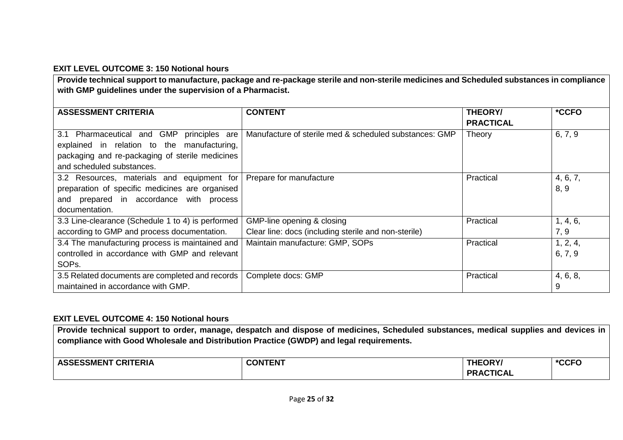## **EXIT LEVEL OUTCOME 3: 150 Notional hours**

**Provide technical support to manufacture, package and re-package sterile and non-sterile medicines and Scheduled substances in compliance with GMP guidelines under the supervision of a Pharmacist.**

| <b>ASSESSMENT CRITERIA</b>                        | <b>CONTENT</b>                                         | <b>THEORY/</b>   | *CCFO    |
|---------------------------------------------------|--------------------------------------------------------|------------------|----------|
|                                                   |                                                        | <b>PRACTICAL</b> |          |
| 3.1 Pharmaceutical and GMP<br>principles are      | Manufacture of sterile med & scheduled substances: GMP | Theory           | 6, 7, 9  |
| explained in relation to the manufacturing,       |                                                        |                  |          |
| packaging and re-packaging of sterile medicines   |                                                        |                  |          |
| and scheduled substances.                         |                                                        |                  |          |
| 3.2 Resources, materials and equipment for        | Prepare for manufacture                                | Practical        | 4, 6, 7, |
| preparation of specific medicines are organised   |                                                        |                  | 8, 9     |
| and prepared in accordance with process           |                                                        |                  |          |
| documentation.                                    |                                                        |                  |          |
| 3.3 Line-clearance (Schedule 1 to 4) is performed | GMP-line opening & closing                             | Practical        | 1, 4, 6, |
| according to GMP and process documentation.       | Clear line: docs (including sterile and non-sterile)   |                  | 7, 9     |
| 3.4 The manufacturing process is maintained and   | Maintain manufacture: GMP, SOPs                        | Practical        | 1, 2, 4, |
| controlled in accordance with GMP and relevant    |                                                        |                  | 6, 7, 9  |
| SOP <sub>s</sub> .                                |                                                        |                  |          |
| 3.5 Related documents are completed and records   | Complete docs: GMP                                     | Practical        | 4, 6, 8, |
| maintained in accordance with GMP.                |                                                        |                  | 9        |

### **EXIT LEVEL OUTCOME 4: 150 Notional hours**

**Provide technical support to order, manage, despatch and dispose of medicines, Scheduled substances, medical supplies and devices in compliance with Good Wholesale and Distribution Practice (GWDP) and legal requirements.**

| 757<br>.<br>`EKIA<br>.SMEN ′<br>. .<br>一下!<br>- - - - - | <b>ONTENT</b><br>CO. | THEORY/                         | $*$<br>. .<br>™∪∪ |
|---------------------------------------------------------|----------------------|---------------------------------|-------------------|
|                                                         |                      | <b>TICAL</b><br>DD A.<br>$\sim$ |                   |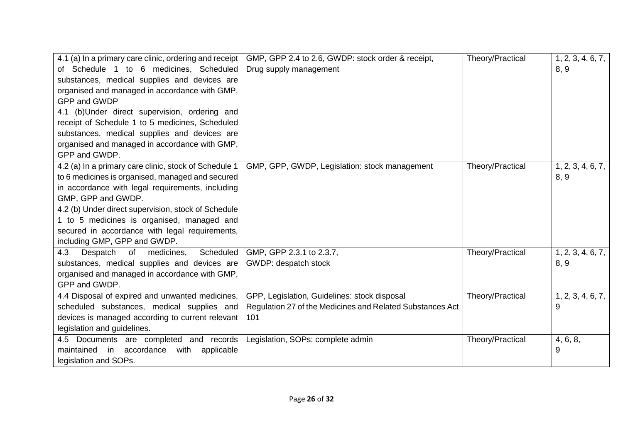| 4.1 (a) In a primary care clinic, ordering and receipt<br>of Schedule 1 to 6 medicines, Scheduled<br>substances, medical supplies and devices are<br>organised and managed in accordance with GMP,<br>GPP and GWDP<br>4.1 (b) Under direct supervision, ordering and<br>receipt of Schedule 1 to 5 medicines, Scheduled<br>substances, medical supplies and devices are<br>organised and managed in accordance with GMP,<br>GPP and GWDP. | GMP, GPP 2.4 to 2.6, GWDP: stock order & receipt,<br>Drug supply management                                      | Theory/Practical | 1, 2, 3, 4, 6, 7,<br>8, 9 |
|-------------------------------------------------------------------------------------------------------------------------------------------------------------------------------------------------------------------------------------------------------------------------------------------------------------------------------------------------------------------------------------------------------------------------------------------|------------------------------------------------------------------------------------------------------------------|------------------|---------------------------|
| 4.2 (a) In a primary care clinic, stock of Schedule 1<br>to 6 medicines is organised, managed and secured<br>in accordance with legal requirements, including<br>GMP, GPP and GWDP.<br>4.2 (b) Under direct supervision, stock of Schedule<br>1 to 5 medicines is organised, managed and<br>secured in accordance with legal requirements,<br>including GMP, GPP and GWDP.                                                                | GMP, GPP, GWDP, Legislation: stock management                                                                    | Theory/Practical | 1, 2, 3, 4, 6, 7,<br>8, 9 |
| Despatch<br>medicines.<br>Scheduled<br>4.3<br>of<br>substances, medical supplies and devices are<br>organised and managed in accordance with GMP,<br>GPP and GWDP.                                                                                                                                                                                                                                                                        | GMP, GPP 2.3.1 to 2.3.7,<br>GWDP: despatch stock                                                                 | Theory/Practical | 1, 2, 3, 4, 6, 7,<br>8, 9 |
| 4.4 Disposal of expired and unwanted medicines,<br>scheduled substances, medical supplies and<br>devices is managed according to current relevant<br>legislation and guidelines.                                                                                                                                                                                                                                                          | GPP, Legislation, Guidelines: stock disposal<br>Regulation 27 of the Medicines and Related Substances Act<br>101 | Theory/Practical | 1, 2, 3, 4, 6, 7,<br>9    |
| 4.5 Documents are completed and records<br>accordance<br>applicable<br>maintained<br>in<br>with<br>legislation and SOPs.                                                                                                                                                                                                                                                                                                                  | Legislation, SOPs: complete admin                                                                                | Theory/Practical | 4, 6, 8,<br>9             |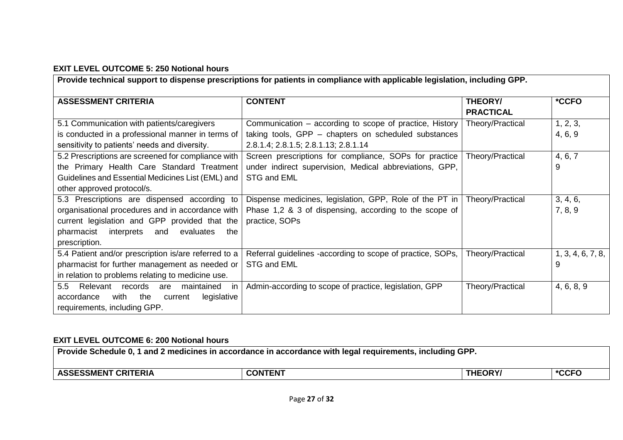## **EXIT LEVEL OUTCOME 5: 250 Notional hours**

|                                                                                                                                                                                                                     | Provide technical support to dispense prescriptions for patients in compliance with applicable legislation, including GPP.                              |                             |                        |
|---------------------------------------------------------------------------------------------------------------------------------------------------------------------------------------------------------------------|---------------------------------------------------------------------------------------------------------------------------------------------------------|-----------------------------|------------------------|
| <b>ASSESSMENT CRITERIA</b>                                                                                                                                                                                          | <b>CONTENT</b>                                                                                                                                          | THEORY/<br><b>PRACTICAL</b> | *CCFO                  |
| 5.1 Communication with patients/caregivers<br>is conducted in a professional manner in terms of<br>sensitivity to patients' needs and diversity.                                                                    | Communication – according to scope of practice, History<br>taking tools, GPP – chapters on scheduled substances<br>2.8.1.4; 2.8.1.5; 2.8.1.13; 2.8.1.14 | Theory/Practical            | 1, 2, 3,<br>4, 6, 9    |
| 5.2 Prescriptions are screened for compliance with<br>the Primary Health Care Standard Treatment<br>Guidelines and Essential Medicines List (EML) and<br>other approved protocol/s.                                 | Screen prescriptions for compliance, SOPs for practice<br>under indirect supervision, Medical abbreviations, GPP,<br>STG and EML                        | Theory/Practical            | 4, 6, 7<br>9           |
| 5.3 Prescriptions are dispensed according to<br>organisational procedures and in accordance with<br>current legislation and GPP provided that the<br>pharmacist interprets<br>and evaluates<br>the<br>prescription. | Dispense medicines, legislation, GPP, Role of the PT in<br>Phase 1,2 & 3 of dispensing, according to the scope of<br>practice, SOPs                     | Theory/Practical            | 3, 4, 6,<br>7, 8, 9    |
| 5.4 Patient and/or prescription is/are referred to a<br>pharmacist for further management as needed or<br>in relation to problems relating to medicine use.                                                         | Referral guidelines -according to scope of practice, SOPs,<br>STG and EML                                                                               | Theory/Practical            | 1, 3, 4, 6, 7, 8,<br>9 |
| 5.5 Relevant<br>records<br>maintained<br>in<br>are<br>with<br>the<br>legislative<br>accordance<br>current<br>requirements, including GPP.                                                                           | Admin-according to scope of practice, legislation, GPP                                                                                                  | Theory/Practical            | 4, 6, 8, 9             |

## **EXIT LEVEL OUTCOME 6: 200 Notional hours**

| Provide Schedule 0, 1 and 2 medicines in accordance in accordance with legal requirements, including GPP. $\,$ |                |                |       |
|----------------------------------------------------------------------------------------------------------------|----------------|----------------|-------|
| <b>ASSESSMENT CRITERIA</b>                                                                                     | <b>CONTENT</b> | <b>THEORY/</b> | *CCFO |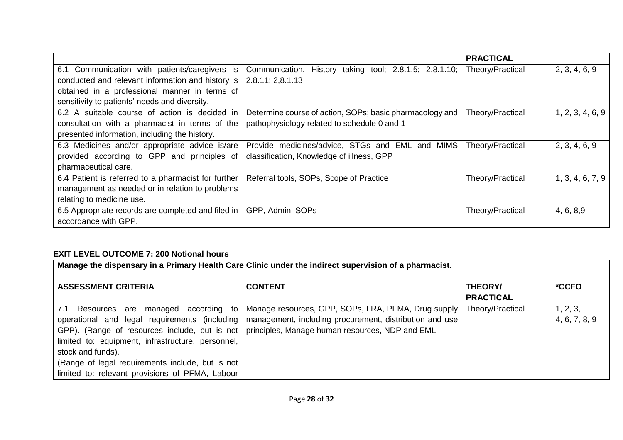|                                                     |                                                           | <b>PRACTICAL</b> |                  |
|-----------------------------------------------------|-----------------------------------------------------------|------------------|------------------|
| 6.1 Communication with patients/caregivers is       | History taking tool; 2.8.1.5; 2.8.1.10;<br>Communication, | Theory/Practical | 2, 3, 4, 6, 9    |
| conducted and relevant information and history is   | 2.8.11; 2,8.1.13                                          |                  |                  |
| obtained in a professional manner in terms of       |                                                           |                  |                  |
| sensitivity to patients' needs and diversity.       |                                                           |                  |                  |
| 6.2 A suitable course of action is decided in       | Determine course of action, SOPs; basic pharmacology and  | Theory/Practical | 1, 2, 3, 4, 6, 9 |
| consultation with a pharmacist in terms of the      | pathophysiology related to schedule 0 and 1               |                  |                  |
| presented information, including the history.       |                                                           |                  |                  |
| 6.3 Medicines and/or appropriate advice is/are      | Provide medicines/advice, STGs and EML and MIMS           | Theory/Practical | 2, 3, 4, 6, 9    |
| provided according to GPP and principles of         | classification, Knowledge of illness, GPP                 |                  |                  |
| pharmaceutical care.                                |                                                           |                  |                  |
| 6.4 Patient is referred to a pharmacist for further | Referral tools, SOPs, Scope of Practice                   | Theory/Practical | 1, 3, 4, 6, 7, 9 |
| management as needed or in relation to problems     |                                                           |                  |                  |
| relating to medicine use.                           |                                                           |                  |                  |
| 6.5 Appropriate records are completed and filed in  | GPP, Admin, SOPs                                          | Theory/Practical | 4, 6, 8, 9       |
| accordance with GPP.                                |                                                           |                  |                  |

# **EXIT LEVEL OUTCOME 7: 200 Notional hours**

|                                                                                                                                                                                                    | Manage the dispensary in a Primary Health Care Clinic under the indirect supervision of a pharmacist.                                                                                                                                                                                      |                                    |                           |
|----------------------------------------------------------------------------------------------------------------------------------------------------------------------------------------------------|--------------------------------------------------------------------------------------------------------------------------------------------------------------------------------------------------------------------------------------------------------------------------------------------|------------------------------------|---------------------------|
| <b>ASSESSMENT CRITERIA</b>                                                                                                                                                                         | <b>CONTENT</b>                                                                                                                                                                                                                                                                             | <b>THEORY/</b><br><b>PRACTICAL</b> | *CCFO                     |
| 7.1 Resources are<br>limited to: equipment, infrastructure, personnel,<br>stock and funds).<br>(Range of legal requirements include, but is not<br>limited to: relevant provisions of PFMA, Labour | managed according to   Manage resources, GPP, SOPs, LRA, PFMA, Drug supply  <br>operational and legal requirements (including   management, including procurement, distribution and use<br>GPP). (Range of resources include, but is not   principles, Manage human resources, NDP and EML | Theory/Practical                   | 1, 2, 3,<br>4, 6, 7, 8, 9 |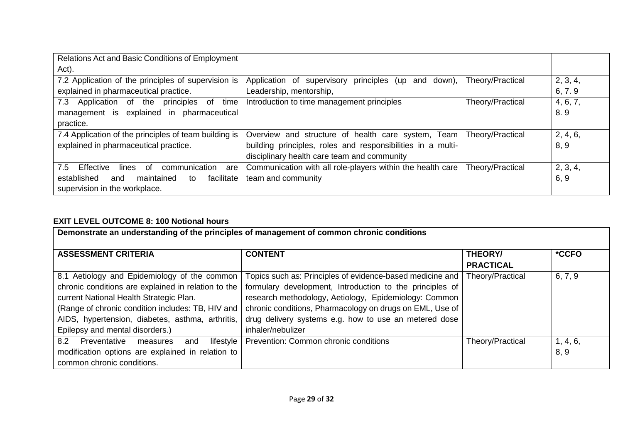| Relations Act and Basic Conditions of Employment              |                                                                  |                  |          |
|---------------------------------------------------------------|------------------------------------------------------------------|------------------|----------|
| Act).                                                         |                                                                  |                  |          |
| 7.2 Application of the principles of supervision is           | Application of supervisory<br>principles<br>down),<br>and<br>(up | Theory/Practical | 2, 3, 4, |
| explained in pharmaceutical practice.                         | Leadership, mentorship,                                          |                  | 6, 7.9   |
| 7.3<br>Application<br>principles<br>of<br>time<br>. of<br>the | Introduction to time management principles                       | Theory/Practical | 4, 6, 7, |
| pharmaceutical<br>explained in<br>management is               |                                                                  |                  | 8.9      |
| practice.                                                     |                                                                  |                  |          |
| 7.4 Application of the principles of team building is         | Overview and structure of health care system, Team               | Theory/Practical | 2, 4, 6, |
| explained in pharmaceutical practice.                         | building principles, roles and responsibilities in a multi-      |                  | 8, 9     |
|                                                               | disciplinary health care team and community                      |                  |          |
| Effective<br>7.5<br>lines<br>of<br>communication<br>are       | Communication with all role-players within the health care       | Theory/Practical | 2, 3, 4, |
| facilitate<br>established<br>maintained<br>and<br>to          | team and community                                               |                  | 6, 9     |
| supervision in the workplace.                                 |                                                                  |                  |          |

# **EXIT LEVEL OUTCOME 8: 100 Notional hours**

| Demonstrate an understanding of the principles of management of common chronic conditions                                                                                                                                                                                                  |                                                                                                                                                                                                                                                                                                                                           |                                    |                  |
|--------------------------------------------------------------------------------------------------------------------------------------------------------------------------------------------------------------------------------------------------------------------------------------------|-------------------------------------------------------------------------------------------------------------------------------------------------------------------------------------------------------------------------------------------------------------------------------------------------------------------------------------------|------------------------------------|------------------|
| <b>ASSESSMENT CRITERIA</b>                                                                                                                                                                                                                                                                 | <b>CONTENT</b>                                                                                                                                                                                                                                                                                                                            | <b>THEORY/</b><br><b>PRACTICAL</b> | *CCFO            |
| 8.1 Aetiology and Epidemiology of the common<br>chronic conditions are explained in relation to the<br>current National Health Strategic Plan.<br>(Range of chronic condition includes: TB, HIV and<br>AIDS, hypertension, diabetes, asthma, arthritis,<br>Epilepsy and mental disorders.) | Topics such as: Principles of evidence-based medicine and Theory/Practical<br>formulary development, Introduction to the principles of<br>research methodology, Aetiology, Epidemiology: Common<br>chronic conditions, Pharmacology on drugs on EML, Use of<br>drug delivery systems e.g. how to use an metered dose<br>inhaler/nebulizer |                                    | 6, 7, 9          |
| $l$ ifestyle $ $<br>8.2 Preventative measures<br>and<br>modification options are explained in relation to<br>common chronic conditions.                                                                                                                                                    | Prevention: Common chronic conditions                                                                                                                                                                                                                                                                                                     | Theory/Practical                   | 1, 4, 6,<br>8, 9 |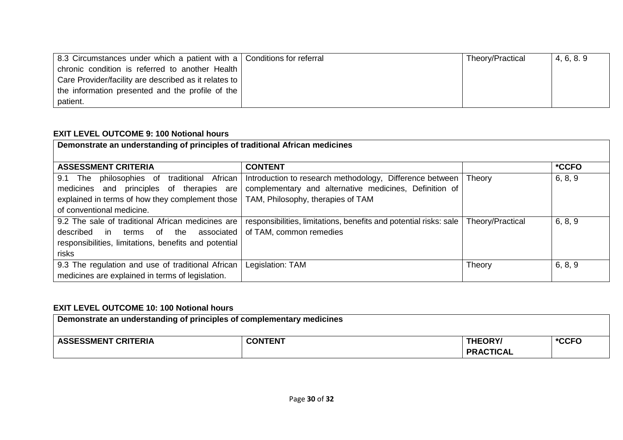| 8.3 Circumstances under which a patient with a Conditions for referral | Theory/Practical | 4, 6, 8, 9 |
|------------------------------------------------------------------------|------------------|------------|
| chronic condition is referred to another Health                        |                  |            |
| Care Provider/facility are described as it relates to                  |                  |            |
| the information presented and the profile of the                       |                  |            |
| patient.                                                               |                  |            |

## **EXIT LEVEL OUTCOME 9: 100 Notional hours**

| Demonstrate an understanding of principles of traditional African medicines                                                                                                 |                                                                                                                                                         |                  |         |
|-----------------------------------------------------------------------------------------------------------------------------------------------------------------------------|---------------------------------------------------------------------------------------------------------------------------------------------------------|------------------|---------|
| <b>ASSESSMENT CRITERIA</b>                                                                                                                                                  | <b>CONTENT</b>                                                                                                                                          |                  | *CCFO   |
| philosophies of traditional African<br>9.1 The<br>medicines and principles of therapies are<br>explained in terms of how they complement those<br>of conventional medicine. | Introduction to research methodology, Difference between<br>complementary and alternative medicines, Definition of<br>TAM, Philosophy, therapies of TAM | Theory           | 6, 8, 9 |
| 9.2 The sale of traditional African medicines are<br>in terms of the associated<br>described<br>responsibilities, limitations, benefits and potential<br>risks              | responsibilities, limitations, benefits and potential risks: sale<br>of TAM, common remedies                                                            | Theory/Practical | 6, 8, 9 |
| 9.3 The regulation and use of traditional African<br>medicines are explained in terms of legislation.                                                                       | Legislation: TAM                                                                                                                                        | Theory           | 6, 8, 9 |

## **EXIT LEVEL OUTCOME 10: 100 Notional hours**

| Demonstrate an understanding of principles of complementary medicines |                |                                    |       |
|-----------------------------------------------------------------------|----------------|------------------------------------|-------|
| <b>ASSESSMENT CRITERIA</b>                                            | <b>CONTENT</b> | <b>THEORY/</b><br><b>PRACTICAL</b> | *CCFO |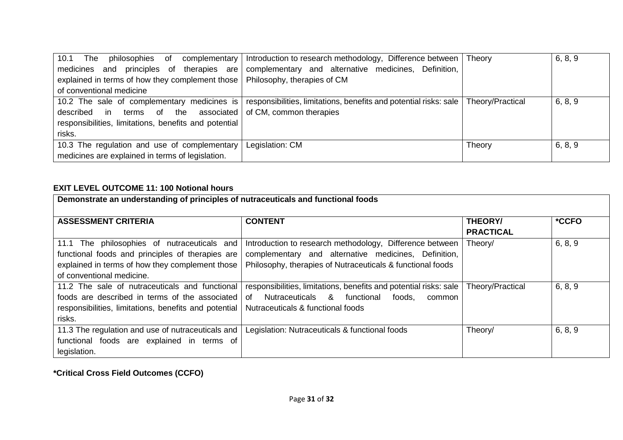| 10.1<br>The<br>philosophies<br>of                                             | complementary   Introduction to research methodology, Difference between   Theory                                                |        | 6, 8, 9 |
|-------------------------------------------------------------------------------|----------------------------------------------------------------------------------------------------------------------------------|--------|---------|
| principles of<br>therapies are<br>and<br>medicines                            | complementary and alternative medicines,<br>Definition,                                                                          |        |         |
| explained in terms of how they complement those   Philosophy, therapies of CM |                                                                                                                                  |        |         |
| of conventional medicine                                                      |                                                                                                                                  |        |         |
|                                                                               | 10.2 The sale of complementary medicines is responsibilities, limitations, benefits and potential risks: sale   Theory/Practical |        | 6, 8, 9 |
| described in terms of the associated of CM, common therapies                  |                                                                                                                                  |        |         |
| responsibilities, limitations, benefits and potential                         |                                                                                                                                  |        |         |
| risks.                                                                        |                                                                                                                                  |        |         |
| 10.3 The regulation and use of complementary                                  | Legislation: CM                                                                                                                  | Theory | 6, 8, 9 |
| medicines are explained in terms of legislation.                              |                                                                                                                                  |        |         |

# **EXIT LEVEL OUTCOME 11: 100 Notional hours**

| Demonstrate an understanding of principles of nutraceuticals and functional foods |                                                                   |                                    |         |
|-----------------------------------------------------------------------------------|-------------------------------------------------------------------|------------------------------------|---------|
| <b>ASSESSMENT CRITERIA</b>                                                        | <b>CONTENT</b>                                                    | <b>THEORY/</b><br><b>PRACTICAL</b> | *CCFO   |
| 11.1 The philosophies of nutraceuticals and                                       | Introduction to research methodology, Difference between          | Theory/                            | 6, 8, 9 |
| functional foods and principles of therapies are                                  | complementary and alternative medicines, Definition,              |                                    |         |
| explained in terms of how they complement those                                   | Philosophy, therapies of Nutraceuticals & functional foods        |                                    |         |
| of conventional medicine.                                                         |                                                                   |                                    |         |
| 11.2 The sale of nutraceuticals and functional                                    | responsibilities, limitations, benefits and potential risks: sale | Theory/Practical                   | 6, 8, 9 |
| foods are described in terms of the associated                                    | Nutraceuticals & functional<br>of<br>foods.<br>common             |                                    |         |
| responsibilities, limitations, benefits and potential                             | Nutraceuticals & functional foods                                 |                                    |         |
| risks.                                                                            |                                                                   |                                    |         |
| 11.3 The regulation and use of nutraceuticals and                                 | Legislation: Nutraceuticals & functional foods                    | Theory/                            | 6, 8, 9 |
| functional foods are explained in terms of                                        |                                                                   |                                    |         |
| legislation.                                                                      |                                                                   |                                    |         |

**\*Critical Cross Field Outcomes (CCFO)**